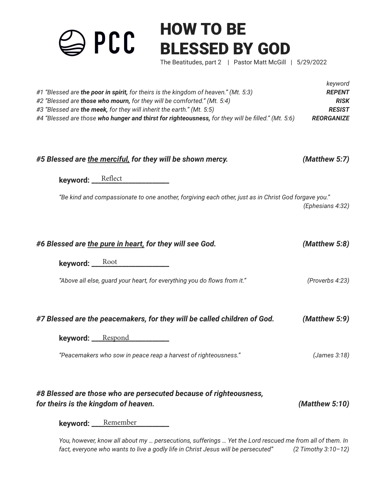HOW TO BE PCC BLESSED BY GOD The Beatitudes, part 2 | Pastor Matt McGill | 5/29/2022 *keyword*

| #1 "Blessed are the poor in spirit, for theirs is the kingdom of heaven." (Mt. 5:3)<br>#2 "Blessed are those who mourn, for they will be comforted." (Mt. 5:4)<br>#3 "Blessed are the meek, for they will inherit the earth." (Mt. 5:5)<br>#4 "Blessed are those who hunger and thirst for righteousness, for they will be filled." (Mt. 5:6) | <b>REPENT</b><br><b>RISK</b><br><b>RESIST</b><br><b>REORGANIZE</b> |
|-----------------------------------------------------------------------------------------------------------------------------------------------------------------------------------------------------------------------------------------------------------------------------------------------------------------------------------------------|--------------------------------------------------------------------|
| #5 Blessed are the merciful, for they will be shown mercy.                                                                                                                                                                                                                                                                                    | (Matthew 5:7)                                                      |
| keyword: Reflect<br>"Be kind and compassionate to one another, forgiving each other, just as in Christ God forgave you."                                                                                                                                                                                                                      | (Ephesians 4:32)                                                   |
| #6 Blessed are the pure in heart, for they will see God.<br>keyword: Root                                                                                                                                                                                                                                                                     | (Matthew 5:8)                                                      |
| "Above all else, guard your heart, for everything you do flows from it."                                                                                                                                                                                                                                                                      | (Proverbs 4:23)                                                    |

| #7 Blessed are the peacemakers, for they will be called children of God. | (Matthew 5:9) |
|--------------------------------------------------------------------------|---------------|
|--------------------------------------------------------------------------|---------------|

**keyword: \_\_\_\_\_\_\_\_\_\_\_\_\_\_\_\_\_\_\_\_\_\_\_** Respond

*"Peacemakers who sow in peace reap a harvest of righteousness." (James 3:18)*

| #8 Blessed are those who are persecuted because of righteousness, |                |
|-------------------------------------------------------------------|----------------|
| for theirs is the kingdom of heaven.                              | (Matthew 5:10) |

**keyword:** Remember

*You, however, know all about my … persecutions, sufferings … Yet the Lord rescued me from all of them. In fact, everyone who wants to live a godly life in Christ Jesus will be persecuted" (2 Timothy 3:10–12)*